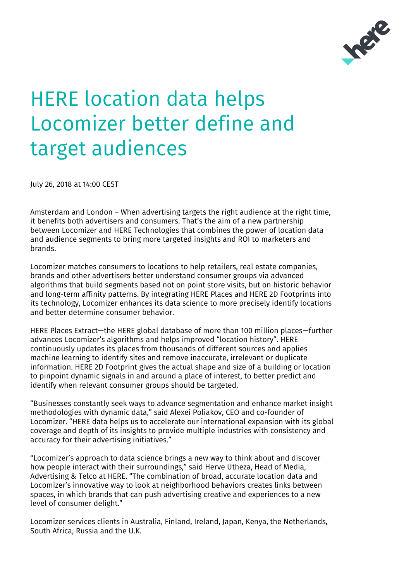

## **HERE location data helps** Locomizer better define and target audiences

July 26, 2018 at 14:00 CEST

Amsterdam and London – When advertising targets the right audience at the right time, it benefits both advertisers and consumers. That's the aim of a new partnership between Locomizer and HERE Technologies that combines the power of location data and audience segments to bring more targeted insights and ROI to marketers and brands.

Locomizer matches consumers to locations to help retailers, real estate companies, brands and other advertisers better understand consumer groups via advanced algorithms that build segments based not on point store visits, but on historic behavior and long-term affinity patterns. By integrating HERE Places and HERE 2D Footprints into its technology, Locomizer enhances its data science to more precisely identify locations and better determine consumer behavior.

HERE Places Extract—the HERE global database of more than 100 million places—further advances Locomizer's algorithms and helps improved "location history". HERE continuously updates its places from thousands of different sources and applies machine learning to identify sites and remove inaccurate, irrelevant or duplicate information. HERE 2D Footprint gives the actual shape and size of a building or location to pinpoint dynamic signals in and around a place of interest, to better predict and identify when relevant consumer groups should be targeted.

"Businesses constantly seek ways to advance segmentation and enhance market insight methodologies with dynamic data," said Alexei Poliakov, CEO and co-founder of Locomizer. "HERE data helps us to accelerate our international expansion with its global coverage and depth of its insights to provide multiple industries with consistency and accuracy for their advertising initiatives."

"Locomizer's approach to data science brings a new way to think about and discover how people interact with their surroundings," said Herve Utheza, Head of Media, Advertising & Telco at HERE. "The combination of broad, accurate location data and Locomizer's innovative way to look at neighborhood behaviors creates links between spaces, in which brands that can push advertising creative and experiences to a new level of consumer delight."

Locomizer services clients in Australia, Finland, Ireland, Japan, Kenya, the Netherlands, South Africa, Russia and the U.K.